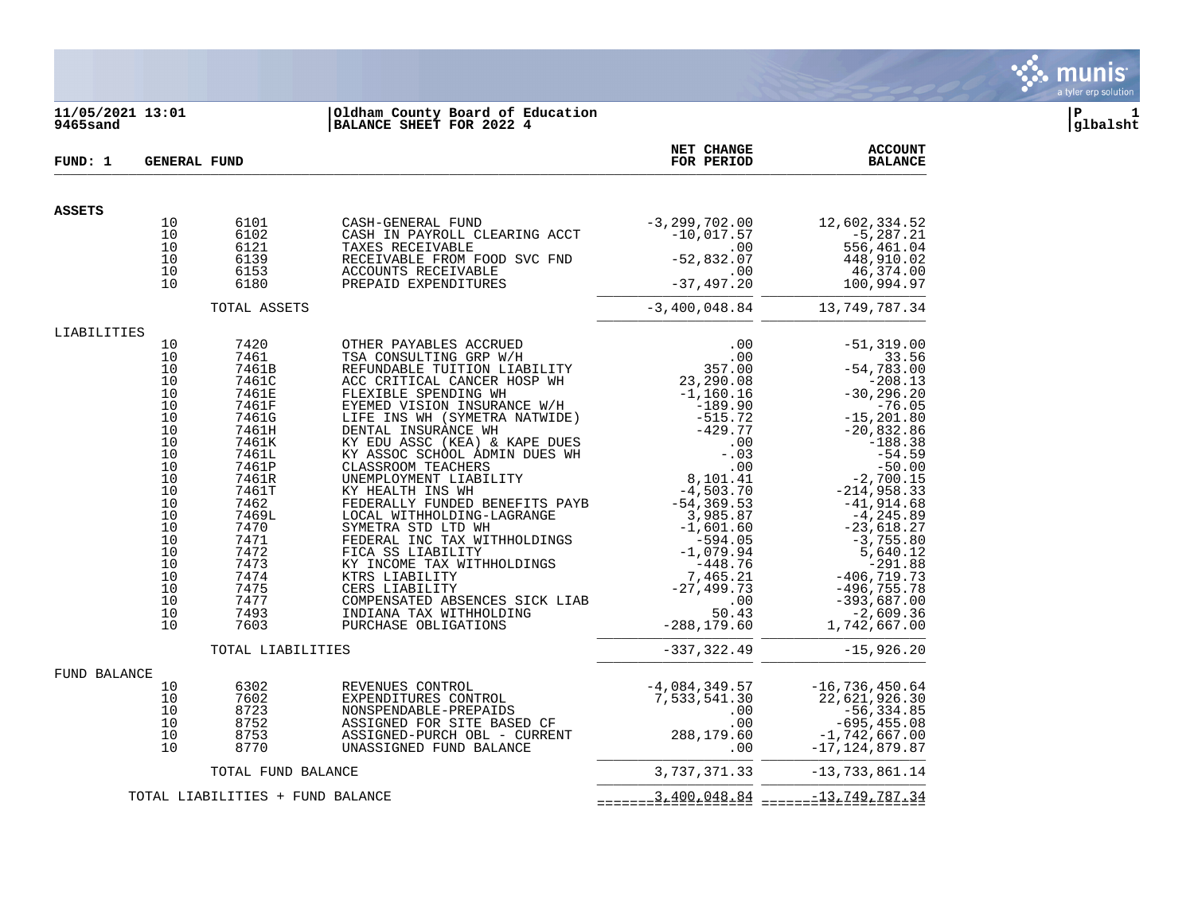

## **11/05/2021 13:01 |Oldham County Board of Education |P 1 9465sand |BALANCE SHEET FOR 2022 4 |glbalsht**

| FUND: 1       |          | <b>GENERAL FUND</b>              |                                                                                                                                                                                                                                                                                                                                                                                                                     | NET CHANGE<br>FOR PERIOD | <b>ACCOUNT</b><br><b>BALANCE</b>            |
|---------------|----------|----------------------------------|---------------------------------------------------------------------------------------------------------------------------------------------------------------------------------------------------------------------------------------------------------------------------------------------------------------------------------------------------------------------------------------------------------------------|--------------------------|---------------------------------------------|
| <b>ASSETS</b> |          |                                  |                                                                                                                                                                                                                                                                                                                                                                                                                     |                          |                                             |
|               | 10       | 6101                             |                                                                                                                                                                                                                                                                                                                                                                                                                     |                          |                                             |
|               | 10       | 6102                             |                                                                                                                                                                                                                                                                                                                                                                                                                     |                          |                                             |
|               | 10<br>10 | 6121<br>6139                     |                                                                                                                                                                                                                                                                                                                                                                                                                     |                          |                                             |
|               | 10       | 6153                             |                                                                                                                                                                                                                                                                                                                                                                                                                     |                          |                                             |
|               | 10       | 6180                             |                                                                                                                                                                                                                                                                                                                                                                                                                     |                          |                                             |
|               |          | TOTAL ASSETS                     |                                                                                                                                                                                                                                                                                                                                                                                                                     |                          | $-3,400,048.84$ 13,749,787.34               |
| LIABILITIES   |          |                                  | $\begin{tabular}{l c c c c} \hline \texttt{OTHER} & \texttt{PAYABLES} & \texttt{ACCRUED} & .00 & -51,319.00 \\ \hline \texttt{TSA CONSULTING} & \texttt{RDF W/H} & .00 & 33.56 \\ \hline \texttt{REFUNDABLE TUITION LIABILITY} & 357.00 & -54,783.00 \\ \hline \texttt{ACC CERTICAL CANDR HOSP WH} & 23,290.08 & -208.13 \\ \hline \texttt{EYENIED VISION INSUMRANCE W/H} & -189.90 & -76.05 \\ \hline \texttt{LIF$ |                          |                                             |
|               | 10       | 7420                             |                                                                                                                                                                                                                                                                                                                                                                                                                     |                          |                                             |
|               | 10<br>10 | 7461                             |                                                                                                                                                                                                                                                                                                                                                                                                                     |                          |                                             |
|               | 10       | 7461B<br>7461C                   |                                                                                                                                                                                                                                                                                                                                                                                                                     |                          |                                             |
|               | 10       | 7461E                            |                                                                                                                                                                                                                                                                                                                                                                                                                     |                          |                                             |
|               | 10       | 7461F                            |                                                                                                                                                                                                                                                                                                                                                                                                                     |                          |                                             |
|               | 10       | 7461G                            |                                                                                                                                                                                                                                                                                                                                                                                                                     |                          |                                             |
|               | 10       | 7461H                            |                                                                                                                                                                                                                                                                                                                                                                                                                     |                          |                                             |
|               | 10       | 7461K                            |                                                                                                                                                                                                                                                                                                                                                                                                                     |                          |                                             |
|               | 10       | 7461L                            |                                                                                                                                                                                                                                                                                                                                                                                                                     |                          |                                             |
|               | 10<br>10 | 7461P<br>7461R                   |                                                                                                                                                                                                                                                                                                                                                                                                                     |                          |                                             |
|               | 10       | 7461T                            |                                                                                                                                                                                                                                                                                                                                                                                                                     |                          |                                             |
|               | 10       | 7462                             |                                                                                                                                                                                                                                                                                                                                                                                                                     |                          |                                             |
|               | 10       | 7469L                            |                                                                                                                                                                                                                                                                                                                                                                                                                     |                          |                                             |
|               | 10       | 7470                             |                                                                                                                                                                                                                                                                                                                                                                                                                     |                          |                                             |
|               | 10       | 7471                             |                                                                                                                                                                                                                                                                                                                                                                                                                     |                          |                                             |
|               | 10       | 7472                             |                                                                                                                                                                                                                                                                                                                                                                                                                     |                          |                                             |
|               | 10       | 7473                             |                                                                                                                                                                                                                                                                                                                                                                                                                     |                          |                                             |
|               | 10       | 7474                             |                                                                                                                                                                                                                                                                                                                                                                                                                     |                          |                                             |
|               | 10<br>10 | 7475<br>7477                     |                                                                                                                                                                                                                                                                                                                                                                                                                     |                          |                                             |
|               | 10       | 7493                             |                                                                                                                                                                                                                                                                                                                                                                                                                     |                          |                                             |
|               | 10       | 7603                             |                                                                                                                                                                                                                                                                                                                                                                                                                     |                          |                                             |
|               |          | TOTAL LIABILITIES                | FEDERALLY FUNDED BENEFITS PAYB<br>LOCAL WITHHOLDING -LAGRANGE<br>SYMETRA STD LTD WH<br>SYMETRA STD LTD WH<br>FEDERAL INC TAX WITHHOLDINGS<br>FICA SS LIABILITY<br>FEDERAL INC TAX WITHHOLDINGS<br>FICA SS LIABILITY<br>FITS LIABILITY<br>FITS LI                                                                                                                                                                    | $-337, 322.49$           | $-15,926.20$                                |
| FUND BALANCE  |          |                                  |                                                                                                                                                                                                                                                                                                                                                                                                                     |                          |                                             |
|               | 10       | 6302                             | REVENUES CONTROL                                                                                                                                                                                                                                                                                                                                                                                                    |                          | $-4,084,349.57$ $-16,736,450.64$            |
|               | 10       | 7602                             | EXPENDITURES CONTROL<br>NONSPENDABLE-PREPAIDS<br>ASSIGNED FOR SITE BASED CF                                                                                                                                                                                                                                                                                                                                         |                          | 7,533,541.30 22,621,926.30                  |
|               | 10<br>10 | 8723                             |                                                                                                                                                                                                                                                                                                                                                                                                                     | $.00 \,$                 | $-56, 334.85$                               |
|               | 10       | 8752<br>8753                     | ASSIGNED-PURCH OBL - CURRENT                                                                                                                                                                                                                                                                                                                                                                                        |                          | 695,455.08− 00.<br>288,179.60 −1,742,667.00 |
|               | 10       | 8770                             | UNASSIGNED FUND BALANCE                                                                                                                                                                                                                                                                                                                                                                                             | .00                      | $-17, 124, 879.87$                          |
|               |          | TOTAL FUND BALANCE               |                                                                                                                                                                                                                                                                                                                                                                                                                     |                          | 3, 737, 371.33 -13, 733, 861.14             |
|               |          | TOTAL LIABILITIES + FUND BALANCE |                                                                                                                                                                                                                                                                                                                                                                                                                     |                          |                                             |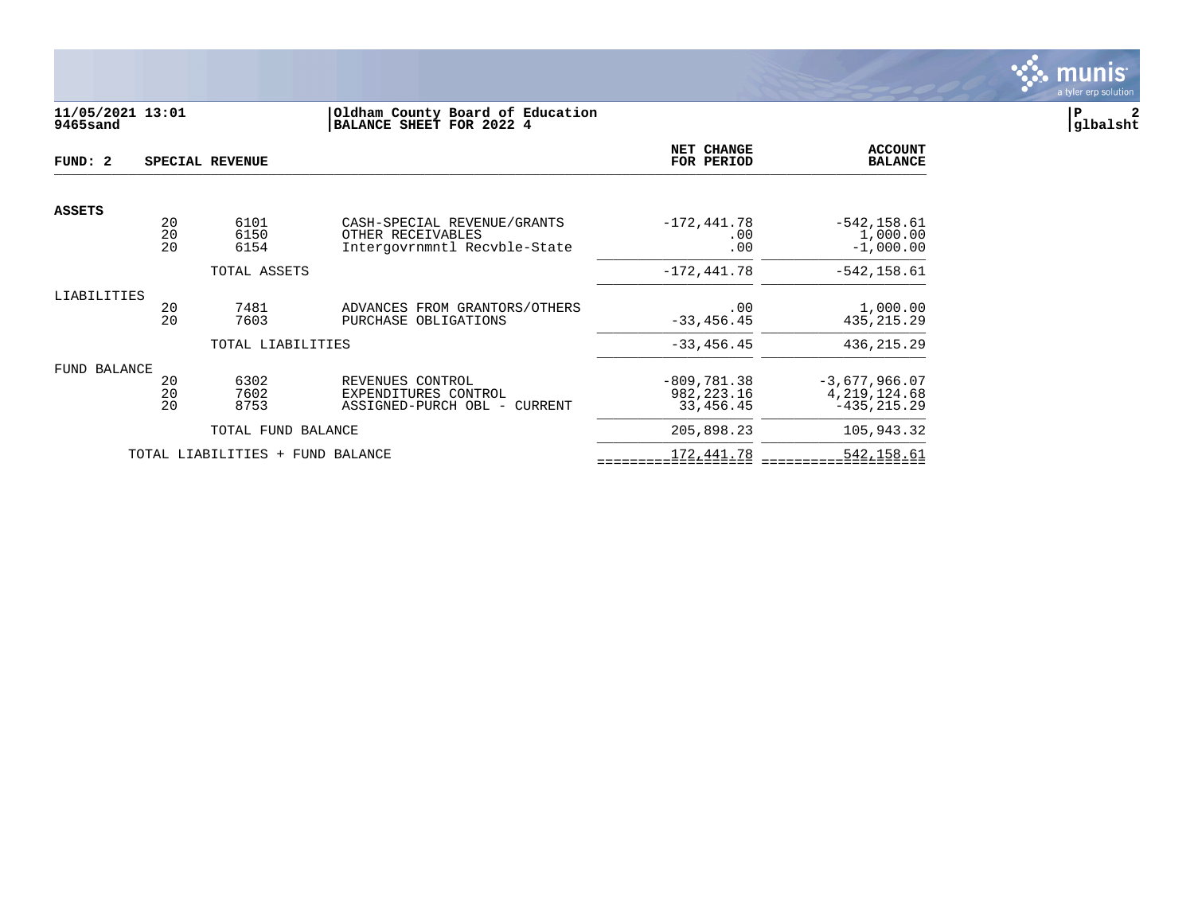

# **11/05/2021 13:01 |Oldham County Board of Education |P 2 9465sand |BALANCE SHEET FOR 2022 4 |glbalsht**

| FUND: 2       |                | SPECIAL REVENUE                  |                                                                                  | NET CHANGE<br>FOR PERIOD                   | <b>ACCOUNT</b><br><b>BALANCE</b>                    |
|---------------|----------------|----------------------------------|----------------------------------------------------------------------------------|--------------------------------------------|-----------------------------------------------------|
|               |                |                                  |                                                                                  |                                            |                                                     |
| <b>ASSETS</b> | 20<br>20<br>20 | 6101<br>6150<br>6154             | CASH-SPECIAL REVENUE/GRANTS<br>OTHER RECEIVABLES<br>Intergovrnmntl Recvble-State | $-172, 441.78$<br>.00<br>.00               | $-542, 158.61$<br>1,000.00<br>$-1,000.00$           |
|               |                | TOTAL ASSETS                     |                                                                                  | $-172, 441.78$                             | $-542, 158.61$                                      |
| LIABILITIES   | 20<br>20       | 7481<br>7603                     | ADVANCES FROM GRANTORS/OTHERS<br>PURCHASE OBLIGATIONS                            | .00<br>$-33, 456.45$                       | 1,000.00<br>435, 215. 29                            |
|               |                | TOTAL LIABILITIES                |                                                                                  | $-33, 456.45$                              | 436, 215.29                                         |
| FUND BALANCE  | 20<br>20<br>20 | 6302<br>7602<br>8753             | REVENUES CONTROL<br>EXPENDITURES CONTROL<br>ASSIGNED-PURCH OBL - CURRENT         | $-809.781.38$<br>982, 223. 16<br>33,456.45 | $-3,677,966.07$<br>4, 219, 124.68<br>$-435, 215.29$ |
|               |                | TOTAL FUND BALANCE               |                                                                                  | 205,898.23                                 | 105,943.32                                          |
|               |                | TOTAL LIABILITIES + FUND BALANCE |                                                                                  | 172,441.78                                 | 542,158.61                                          |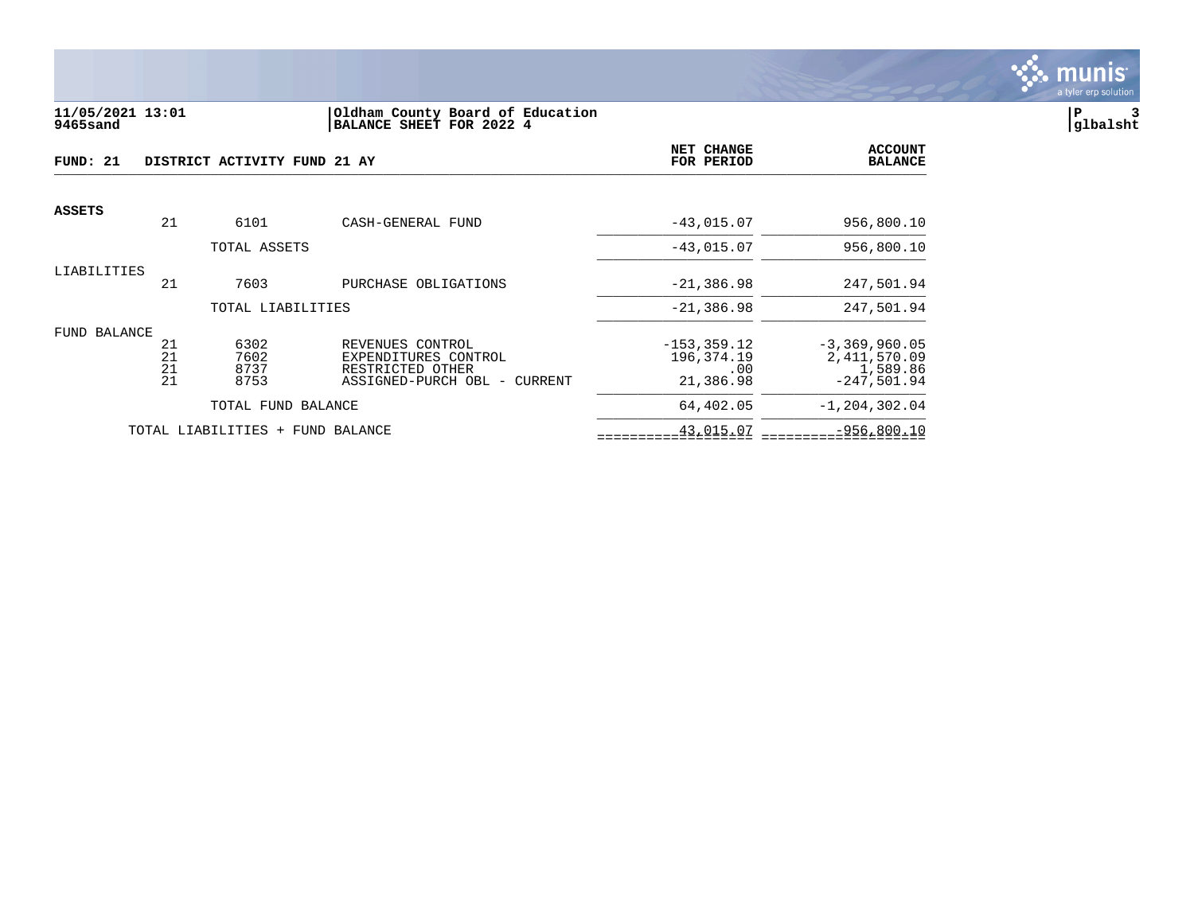

#### **11/05/2021 13:01 |Oldham County Board of Education |P 3 9465sand |BALANCE SHEET FOR 2022 4 |glbalsht**

| FUND: 21      |          | DISTRICT ACTIVITY FUND 21 AY     |                                          | NET CHANGE<br>FOR PERIOD     | <b>ACCOUNT</b><br><b>BALANCE</b>  |
|---------------|----------|----------------------------------|------------------------------------------|------------------------------|-----------------------------------|
| <b>ASSETS</b> |          |                                  |                                          |                              |                                   |
|               | 21       | 6101                             | CASH-GENERAL FUND                        | $-43,015.07$                 | 956,800.10                        |
|               |          | TOTAL ASSETS                     |                                          | $-43,015.07$                 | 956,800.10                        |
| LIABILITIES   |          |                                  |                                          |                              |                                   |
|               | 21       | 7603                             | PURCHASE OBLIGATIONS                     | $-21, 386.98$                | 247,501.94                        |
|               |          | TOTAL LIABILITIES                |                                          | $-21, 386.98$                | 247,501.94                        |
| FUND BALANCE  |          |                                  |                                          |                              |                                   |
|               | 21<br>21 | 6302<br>7602                     | REVENUES CONTROL<br>EXPENDITURES CONTROL | $-153, 359.12$<br>196,374.19 | $-3,369,960.05$<br>2, 411, 570.09 |
|               | 21       | 8737                             | RESTRICTED OTHER                         | .00                          | 1,589.86                          |
|               | 21       | 8753                             | ASSIGNED-PURCH OBL - CURRENT             | 21,386.98                    | $-247.501.94$                     |
|               |          | TOTAL FUND BALANCE               |                                          | 64,402.05                    | $-1, 204, 302.04$                 |
|               |          | TOTAL LIABILITIES + FUND BALANCE |                                          | 43,015.07                    | $-956,800.10$                     |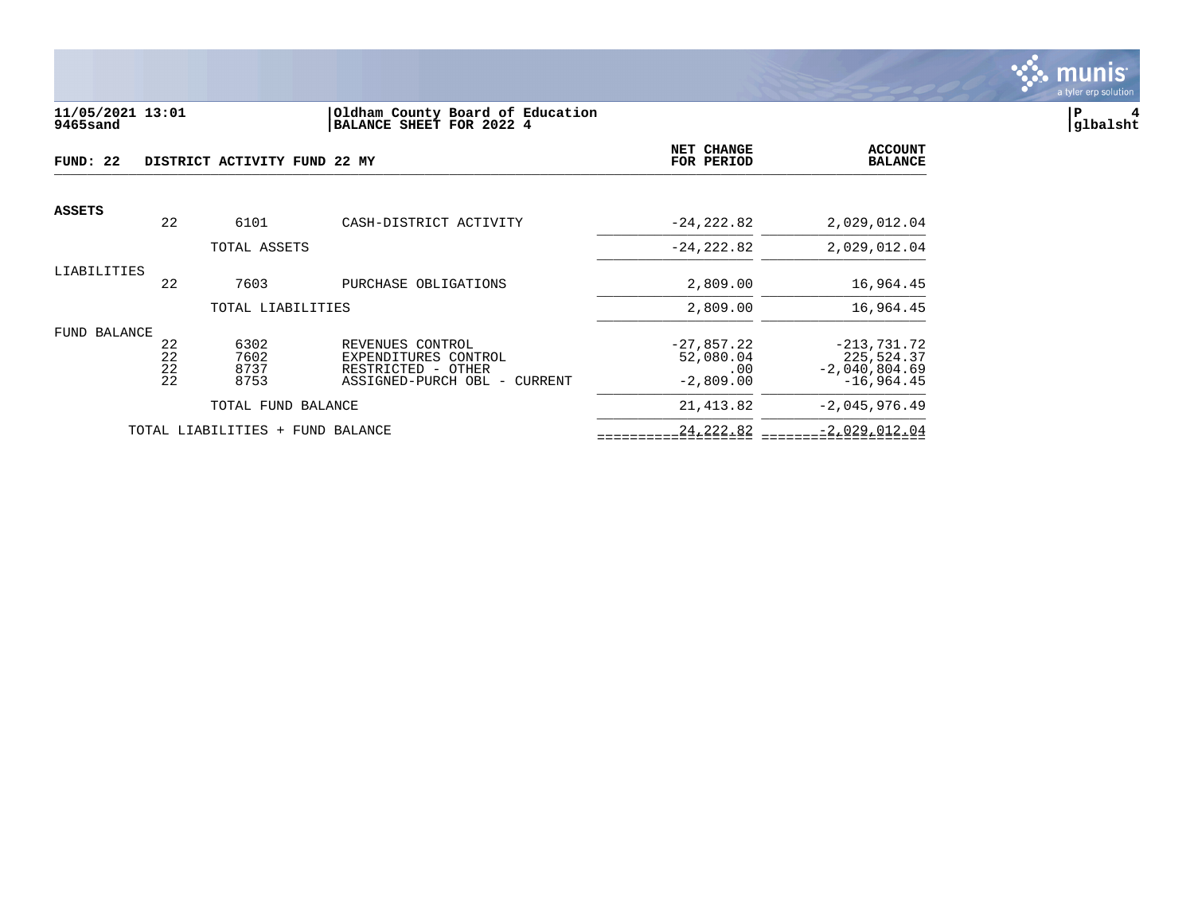

#### **11/05/2021 13:01 |Oldham County Board of Education |P 4 9465sand |BALANCE SHEET FOR 2022 4 |glbalsht**

| FUND: 22      |          | DISTRICT ACTIVITY FUND 22 MY |                                          | NET CHANGE<br>FOR PERIOD  | <b>ACCOUNT</b><br><b>BALANCE</b> |
|---------------|----------|------------------------------|------------------------------------------|---------------------------|----------------------------------|
| <b>ASSETS</b> |          |                              |                                          |                           |                                  |
|               | 22       | 6101                         | CASH-DISTRICT ACTIVITY                   | $-24, 222.82$             | 2,029,012.04                     |
|               |          | TOTAL ASSETS                 |                                          | $-24, 222.82$             | 2,029,012.04                     |
| LIABILITIES   |          |                              |                                          |                           |                                  |
|               | 22       | 7603                         | PURCHASE OBLIGATIONS                     | 2,809.00                  | 16,964.45                        |
|               |          | TOTAL LIABILITIES            |                                          | 2,809.00                  | 16,964.45                        |
| FUND BALANCE  |          |                              |                                          |                           |                                  |
|               | 22<br>22 | 6302<br>7602                 | REVENUES CONTROL<br>EXPENDITURES CONTROL | $-27,857.22$<br>52,080.04 | $-213,731.72$<br>225,524.37      |
|               | 22       | 8737                         | RESTRICTED - OTHER                       | .00                       | $-2,040,804.69$                  |
|               | 22       | 8753                         | ASSIGNED-PURCH OBL - CURRENT             | $-2,809.00$               | $-16.964.45$                     |
|               |          | TOTAL FUND BALANCE           |                                          | 21, 413.82                | $-2,045,976.49$                  |
|               |          | TOTAL LIABILITIES<br>$+$     | FUND BALANCE                             | 24, 222.82                | $-2,029,012.04$                  |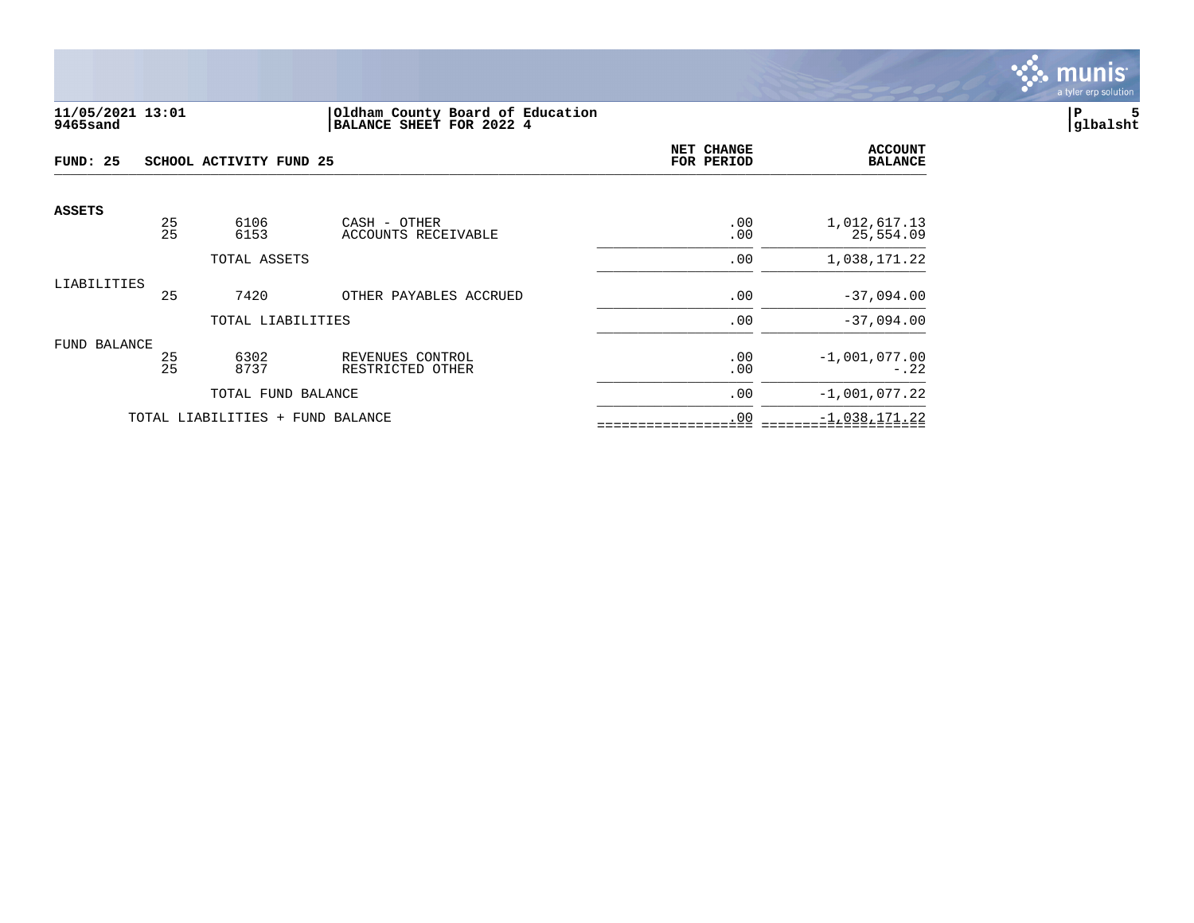

## **11/05/2021 13:01 |Oldham County Board of Education |P 5 9465sand |BALANCE SHEET FOR 2022 4 |glbalsht**

| FUND: 25<br>SCHOOL ACTIVITY FUND 25 |          |                                  | NET CHANGE<br>FOR PERIOD             | <b>ACCOUNT</b><br><b>BALANCE</b> |                           |
|-------------------------------------|----------|----------------------------------|--------------------------------------|----------------------------------|---------------------------|
| <b>ASSETS</b>                       |          |                                  |                                      |                                  |                           |
|                                     | 25<br>25 | 6106<br>6153                     | CASH - OTHER<br>ACCOUNTS RECEIVABLE  | .00<br>.00                       | 1,012,617.13<br>25,554.09 |
|                                     |          | TOTAL ASSETS                     |                                      | .00                              | 1,038,171.22              |
| LIABILITIES                         | 25       | 7420                             | OTHER PAYABLES ACCRUED               | .00                              | $-37,094.00$              |
|                                     |          | TOTAL LIABILITIES                |                                      | .00                              | $-37,094.00$              |
| FUND BALANCE                        | 25<br>25 | 6302<br>8737                     | REVENUES CONTROL<br>RESTRICTED OTHER | .00<br>.00                       | $-1,001,077.00$<br>$-.22$ |
|                                     |          | TOTAL FUND BALANCE               |                                      | .00                              | $-1,001,077.22$           |
|                                     |          | TOTAL LIABILITIES + FUND BALANCE |                                      | .00                              | $-1,038,171.22$           |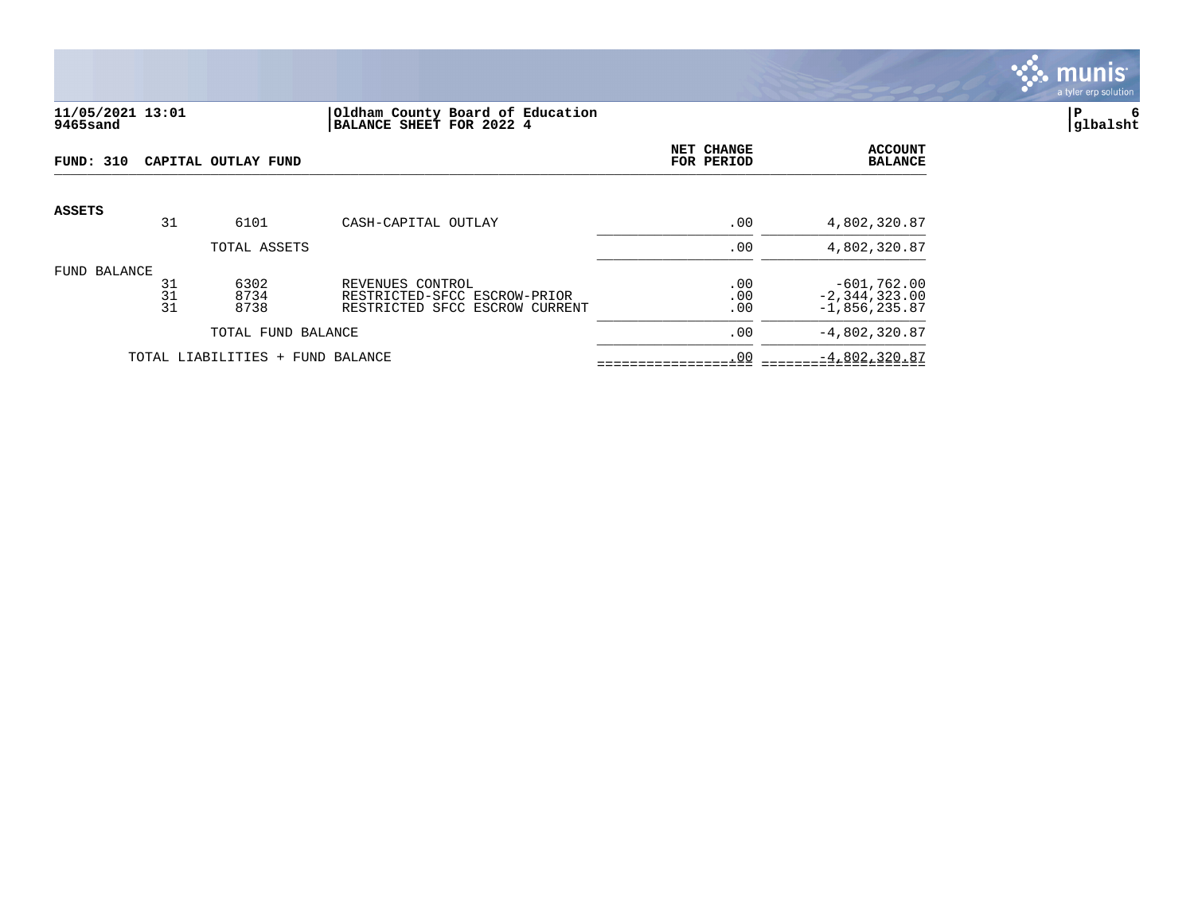

#### **11/05/2021 13:01 |Oldham County Board of Education |P 6 9465sand |BALANCE SHEET FOR 2022 4 |glbalsht**

| <b>FUND: 310</b> |                | CAPITAL OUTLAY FUND              |                                                                                    | NET CHANGE<br>FOR PERIOD | <b>ACCOUNT</b><br><b>BALANCE</b>                      |
|------------------|----------------|----------------------------------|------------------------------------------------------------------------------------|--------------------------|-------------------------------------------------------|
| <b>ASSETS</b>    | 31             | 6101                             | CASH-CAPITAL OUTLAY                                                                | .00                      | 4,802,320.87                                          |
|                  |                | TOTAL ASSETS                     |                                                                                    | .00                      | 4,802,320.87                                          |
| FUND BALANCE     | 31<br>31<br>31 | 6302<br>8734<br>8738             | REVENUES CONTROL<br>RESTRICTED-SFCC ESCROW-PRIOR<br>RESTRICTED SFCC ESCROW CURRENT | .00<br>.00<br>.00        | $-601,762.00$<br>$-2, 344, 323.00$<br>$-1,856,235.87$ |
|                  |                | TOTAL FUND BALANCE               |                                                                                    | .00                      | $-4,802,320.87$                                       |
|                  |                | TOTAL LIABILITIES + FUND BALANCE |                                                                                    | .00                      | $-4,802,320.87$                                       |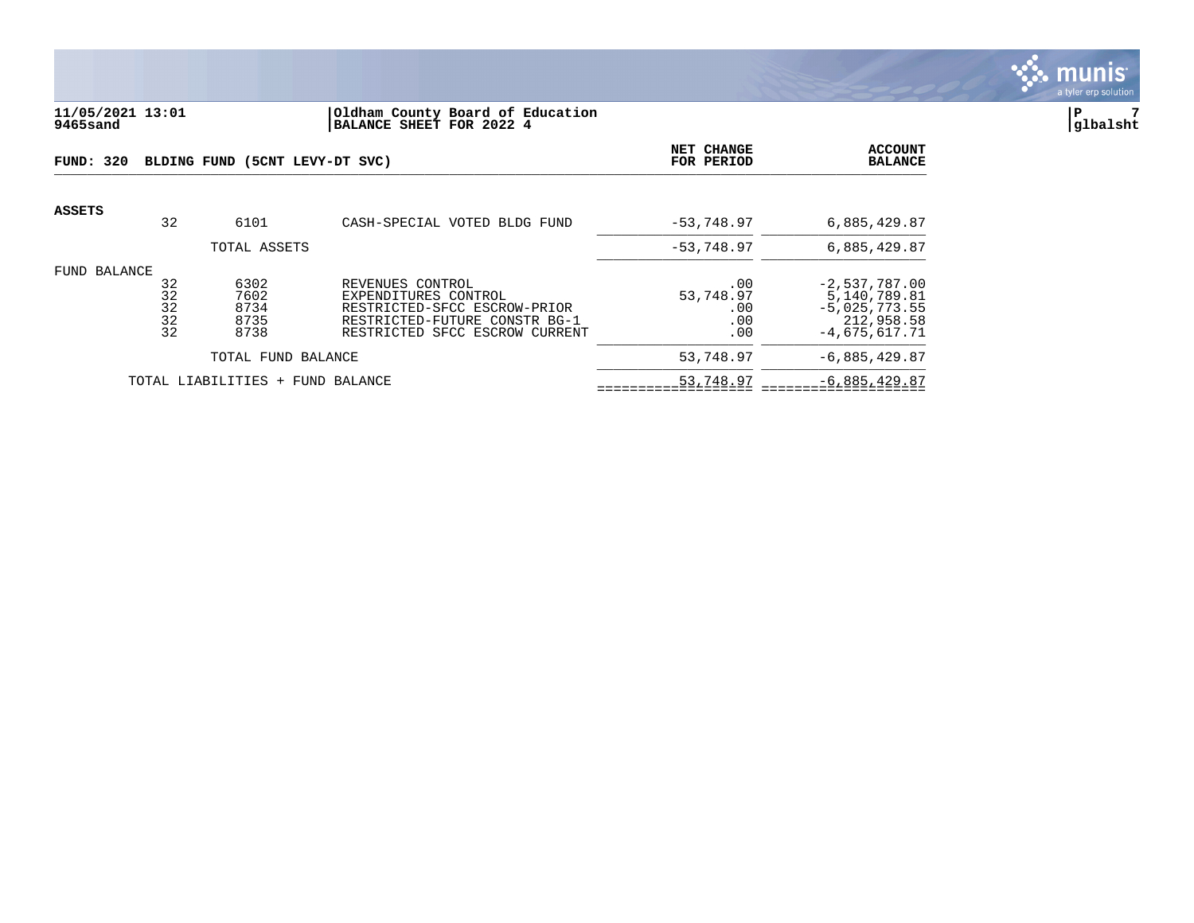

## **11/05/2021 13:01 |Oldham County Board of Education |P 7 9465sand |BALANCE SHEET FOR 2022 4 |glbalsht**

| FUND: 320     |                            | BLDING FUND (5CNT LEVY-DT SVC)       | <b>NET CHANGE</b><br>FOR PERIOD                                                                                                             | <b>ACCOUNT</b><br><b>BALANCE</b>      |                                                                                     |
|---------------|----------------------------|--------------------------------------|---------------------------------------------------------------------------------------------------------------------------------------------|---------------------------------------|-------------------------------------------------------------------------------------|
| <b>ASSETS</b> | 32                         | 6101                                 | CASH-SPECIAL VOTED BLDG FUND                                                                                                                | $-53, 748, 97$                        | 6,885,429.87                                                                        |
|               |                            | TOTAL ASSETS                         |                                                                                                                                             | $-53,748.97$                          | 6,885,429.87                                                                        |
| FUND BALANCE  | 32<br>32<br>32<br>32<br>32 | 6302<br>7602<br>8734<br>8735<br>8738 | REVENUES CONTROL<br>EXPENDITURES CONTROL<br>RESTRICTED-SFCC ESCROW-PRIOR<br>RESTRICTED-FUTURE CONSTR BG-1<br>RESTRICTED SFCC ESCROW CURRENT | .00<br>53,748.97<br>.00<br>.00<br>.00 | $-2,537,787.00$<br>5,140,789.81<br>$-5,025,773.55$<br>212,958.58<br>$-4,675,617.71$ |
|               |                            | TOTAL FUND BALANCE                   |                                                                                                                                             | 53,748.97                             | $-6,885,429.87$                                                                     |
|               |                            | TOTAL LIABILITIES + FUND BALANCE     |                                                                                                                                             | 53,748.97                             | $-6,885,429.87$                                                                     |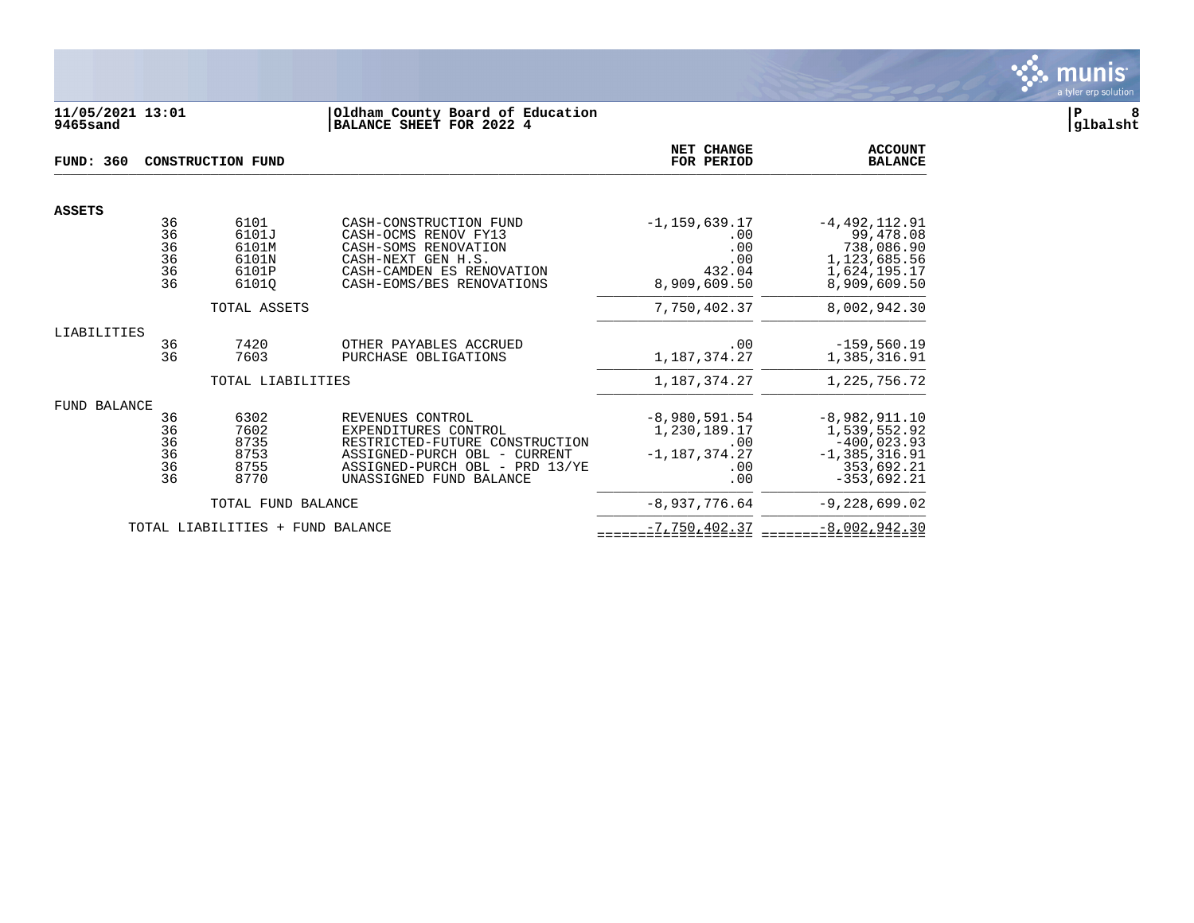

## **11/05/2021 13:01 |Oldham County Board of Education |P 8 9465sand |BALANCE SHEET FOR 2022 4 |glbalsht**

| FUND: 360           |                                               | <b>CONSTRUCTION FUND</b>                          | NET CHANGE<br>FOR PERIOD                                                                                                                                                | <b>ACCOUNT</b><br><b>BALANCE</b>                                        |                                                                                                      |
|---------------------|-----------------------------------------------|---------------------------------------------------|-------------------------------------------------------------------------------------------------------------------------------------------------------------------------|-------------------------------------------------------------------------|------------------------------------------------------------------------------------------------------|
| <b>ASSETS</b>       |                                               |                                                   |                                                                                                                                                                         |                                                                         |                                                                                                      |
|                     | 36<br>$\overline{36}$<br>36<br>36<br>36<br>36 | 6101<br>6101J<br>6101M<br>6101N<br>6101P<br>61010 | CASH-CONSTRUCTION FUND<br>CASH-OCMS RENOV FY13<br>CASH-SOMS RENOVATION<br>CASH-NEXT GEN H.S.<br>CASH-CAMDEN ES RENOVATION<br>CASH-EOMS/BES RENOVATIONS                  | $-1, 159, 639.17$<br>.00<br>.00<br>.00<br>432.04<br>8,909,609.50        | $-4, 492, 112.91$<br>99,478.08<br>738,086.90<br>1,123,685.56<br>1,624,195.17<br>8,909,609.50         |
|                     |                                               | TOTAL ASSETS                                      |                                                                                                                                                                         | 7,750,402.37                                                            | 8,002,942.30                                                                                         |
| LIABILITIES         | 36<br>36                                      | 7420<br>7603                                      | OTHER PAYABLES ACCRUED<br>PURCHASE OBLIGATIONS                                                                                                                          | .00<br>1,187,374.27                                                     | $-159,560.19$<br>1,385,316.91                                                                        |
|                     |                                               | TOTAL LIABILITIES                                 |                                                                                                                                                                         | 1,187,374.27                                                            | 1,225,756.72                                                                                         |
| <b>FUND BALANCE</b> | 36<br>36<br>36<br>$\overline{36}$<br>36<br>36 | 6302<br>7602<br>8735<br>8753<br>8755<br>8770      | REVENUES CONTROL<br>EXPENDITURES CONTROL<br>RESTRICTED-FUTURE CONSTRUCTION<br>ASSIGNED-PURCH OBL - CURRENT<br>ASSIGNED-PURCH OBL - PRD 13/YE<br>UNASSIGNED FUND BALANCE | $-8,980,591.54$<br>1,230,189.17<br>.00<br>$-1,187,374.27$<br>.00<br>.00 | $-8,982,911.10$<br>1,539,552.92<br>$-400,023.93$<br>$-1, 385, 316.91$<br>353,692.21<br>$-353,692.21$ |
|                     |                                               | TOTAL FUND BALANCE                                |                                                                                                                                                                         | $-8,937,776.64$                                                         | $-9,228,699.02$                                                                                      |
|                     |                                               | TOTAL LIABILITIES + FUND BALANCE                  |                                                                                                                                                                         | $-7,750,402.37$                                                         | $-8,002,942.30$                                                                                      |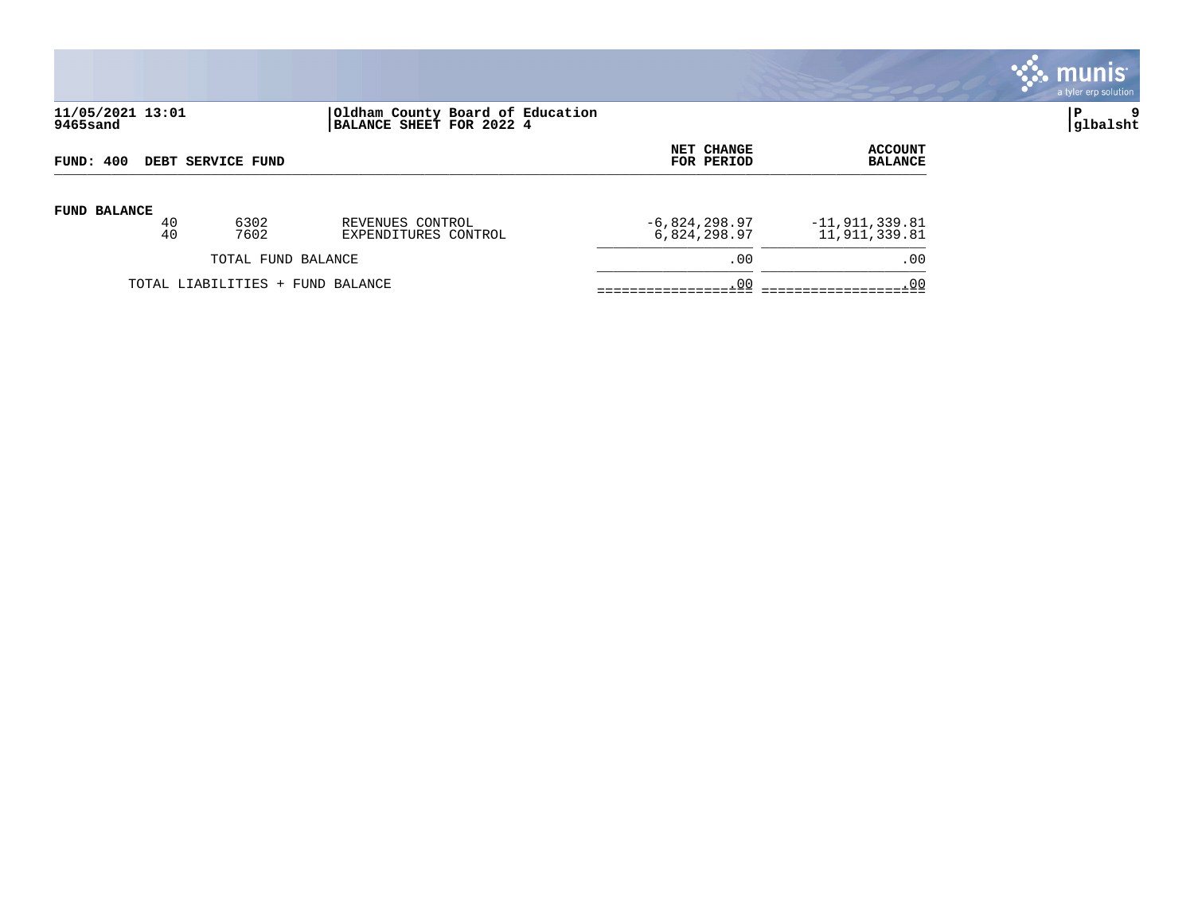

# **11/05/2021 13:01 |Oldham County Board of Education |P 9 9465sand |BALANCE SHEET FOR 2022 4 |glbalsht**

| FUND: 400                        |    |                    |                      | NET CHANGE      | <b>ACCOUNT</b>   |
|----------------------------------|----|--------------------|----------------------|-----------------|------------------|
| DEBT SERVICE FUND                |    |                    |                      | FOR PERIOD      | <b>BALANCE</b>   |
| <b>FUND BALANCE</b>              | 40 | 6302               | REVENUES CONTROL     | $-6,824,298.97$ | $-11,911,339.81$ |
|                                  | 40 | 7602               | EXPENDITURES CONTROL | 6,824,298.97    | 11,911,339.81    |
|                                  |    | TOTAL FUND BALANCE |                      | .00             | .00              |
| TOTAL LIABILITIES + FUND BALANCE |    | .00                | . 00                 |                 |                  |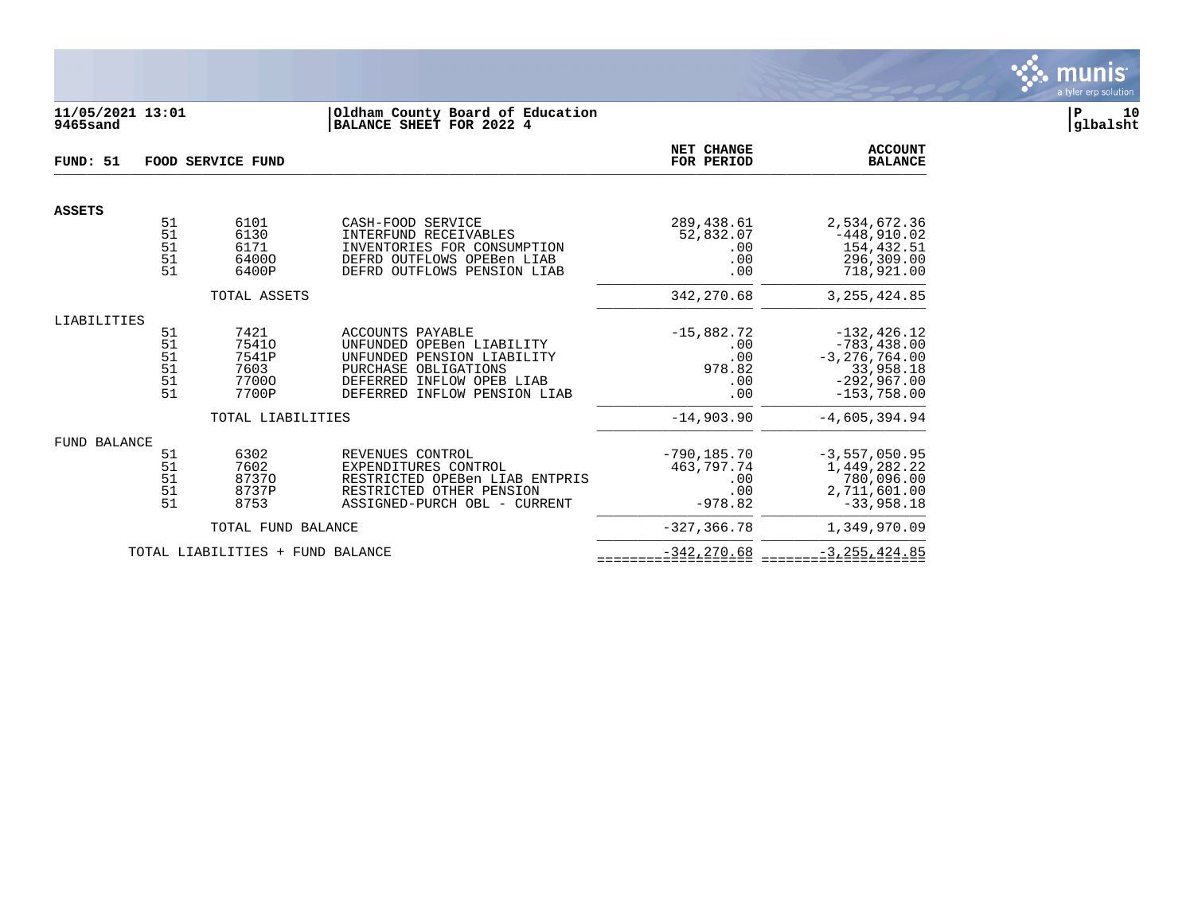

# **11/05/2021 13:01 |Oldham County Board of Education |P 10 9465sand |BALANCE SHEET FOR 2022 4 |glbalsht**

| FUND: 51            | FOOD SERVICE FUND                              |                                                  |                                                                                                                                                                               |                                                         | <b>ACCOUNT</b><br><b>BALANCE</b>                                                                     |
|---------------------|------------------------------------------------|--------------------------------------------------|-------------------------------------------------------------------------------------------------------------------------------------------------------------------------------|---------------------------------------------------------|------------------------------------------------------------------------------------------------------|
| <b>ASSETS</b>       |                                                |                                                  |                                                                                                                                                                               |                                                         |                                                                                                      |
|                     | 51<br>51<br>51<br>51<br>51                     | 6101<br>6130<br>6171<br>64000<br>6400P           | CASH-FOOD SERVICE<br>INTERFUND RECEIVABLES<br>INVENTORIES FOR CONSUMPTION<br>DEFRD OUTFLOWS OPEBen LIAB<br>DEFRD OUTFLOWS PENSION LIAB                                        | 289,438.61<br>52,832.07<br>.00<br>.00<br>.00            | 2,534,672.36<br>$-448,910.02$<br>154,432.51<br>296,309.00<br>718,921.00                              |
|                     |                                                | TOTAL ASSETS                                     |                                                                                                                                                                               | 342,270.68                                              | 3, 255, 424.85                                                                                       |
| LIABILITIES         |                                                |                                                  |                                                                                                                                                                               |                                                         |                                                                                                      |
|                     | 51<br>$\frac{51}{51}$<br>51<br>$\frac{51}{51}$ | 7421<br>75410<br>7541P<br>7603<br>77000<br>7700P | <b>ACCOUNTS PAYABLE</b><br>UNFUNDED OPEBen LIABILITY<br>UNFUNDED PENSION LIABILITY<br>PURCHASE OBLIGATIONS<br>INFLOW OPEB LIAB<br>DEFERRED<br>DEFERRED<br>INFLOW PENSION LIAB | $-15,882.72$<br>.00<br>.00<br>978.82<br>.00<br>.00      | $-132, 426.12$<br>$-783, 438.00$<br>$-3, 276, 764.00$<br>33,958.18<br>$-292,967.00$<br>$-153,758.00$ |
|                     |                                                | TOTAL LIABILITIES                                |                                                                                                                                                                               | $-14,903.90$                                            | $-4,605,394.94$                                                                                      |
| <b>FUND BALANCE</b> | 51<br>$\frac{51}{51}$<br>51<br>51              | 6302<br>7602<br>87370<br>8737P<br>8753           | REVENUES CONTROL<br>EXPENDITURES CONTROL<br>RESTRICTED OPEBen LIAB ENTPRIS<br>RESTRICTED OTHER PENSION<br>ASSIGNED-PURCH OBL - CURRENT                                        | $-790, 185.70$<br>463,797.74<br>.00<br>.00<br>$-978.82$ | $-3, 557, 050.95$<br>1,449,282.22<br>780,096.00<br>2,711,601.00<br>$-33,958.18$                      |
|                     |                                                | TOTAL FUND BALANCE                               |                                                                                                                                                                               | $-327, 366.78$                                          | 1,349,970.09                                                                                         |
|                     |                                                | TOTAL LIABILITIES + FUND BALANCE                 |                                                                                                                                                                               | $-342, 270.68$                                          | $-3, 255, 424.85$                                                                                    |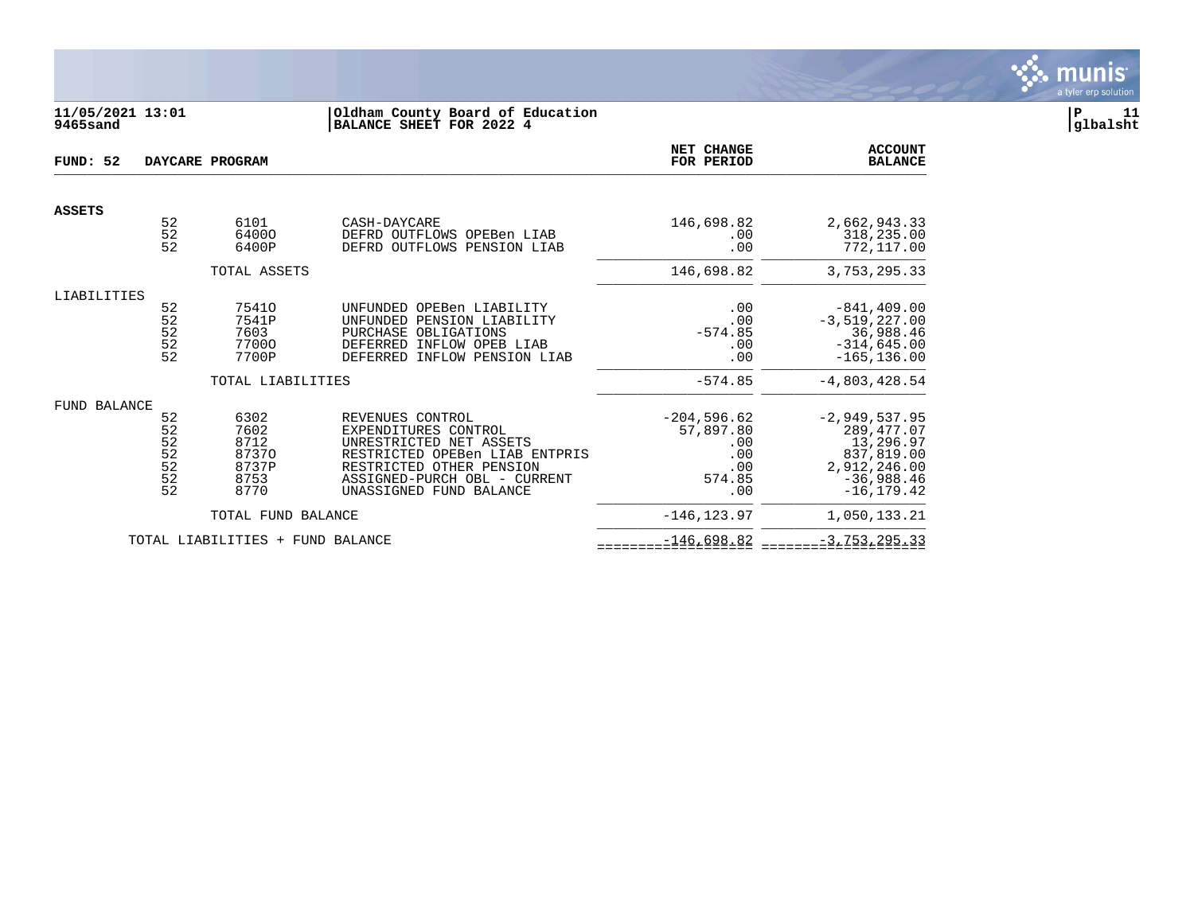

# **11/05/2021 13:01 |Oldham County Board of Education |P 11 9465sand |BALANCE SHEET FOR 2022 4 |glbalsht**

| FUND: 52            |                                               | DAYCARE PROGRAM                                        |                                                                                                                                                                                              | NET CHANGE<br>FOR PERIOD                                         | <b>ACCOUNT</b><br><b>BALANCE</b>                                                                          |
|---------------------|-----------------------------------------------|--------------------------------------------------------|----------------------------------------------------------------------------------------------------------------------------------------------------------------------------------------------|------------------------------------------------------------------|-----------------------------------------------------------------------------------------------------------|
| <b>ASSETS</b>       |                                               |                                                        |                                                                                                                                                                                              |                                                                  |                                                                                                           |
|                     | 52<br>52<br>52                                | 6101<br>64000<br>6400P                                 | CASH-DAYCARE<br>DEFRD OUTFLOWS OPEBen LIAB<br>DEFRD OUTFLOWS PENSION LIAB                                                                                                                    | 146,698.82<br>.00<br>.00                                         | 2,662,943.33<br>318,235.00<br>772,117.00                                                                  |
|                     |                                               | TOTAL ASSETS                                           |                                                                                                                                                                                              | 146,698.82                                                       | 3,753,295.33                                                                                              |
| LIABILITIES         | 52<br>52<br>52<br>52<br>52                    | 75410<br>7541P<br>7603<br>77000<br>7700P               | UNFUNDED OPEBen LIABILITY<br>UNFUNDED PENSION LIABILITY<br>PURCHASE OBLIGATIONS<br>DEFERRED INFLOW OPEB LIAB<br>DEFERRED INFLOW PENSION LIAB                                                 | .00<br>.00<br>$-574.85$<br>.00<br>.00                            | $-841, 409.00$<br>$-3,519,227.00$<br>36,988.46<br>$-314,645.00$<br>$-165, 136.00$                         |
|                     |                                               | TOTAL LIABILITIES                                      |                                                                                                                                                                                              | $-574.85$                                                        | $-4,803,428.54$                                                                                           |
| <b>FUND BALANCE</b> | 52<br>52<br>52<br>52<br>$\frac{52}{52}$<br>52 | 6302<br>7602<br>8712<br>87370<br>8737P<br>8753<br>8770 | REVENUES CONTROL<br>EXPENDITURES CONTROL<br>UNRESTRICTED NET ASSETS<br>RESTRICTED OPEBen LIAB ENTPRIS<br>RESTRICTED OTHER PENSION<br>ASSIGNED-PURCH OBL - CURRENT<br>UNASSIGNED FUND BALANCE | $-204,596.62$<br>57,897.80<br>.00<br>.00<br>.00<br>574.85<br>.00 | $-2,949,537.95$<br>289,477.07<br>13,296.97<br>837,819.00<br>2,912,246.00<br>$-36,988.46$<br>$-16, 179.42$ |
|                     |                                               | TOTAL FUND BALANCE                                     |                                                                                                                                                                                              | $-146, 123.97$                                                   | 1,050,133.21                                                                                              |
|                     |                                               | TOTAL LIABILITIES + FUND BALANCE                       |                                                                                                                                                                                              | $-146,698.82$                                                    | $-3, 753, 295.33$                                                                                         |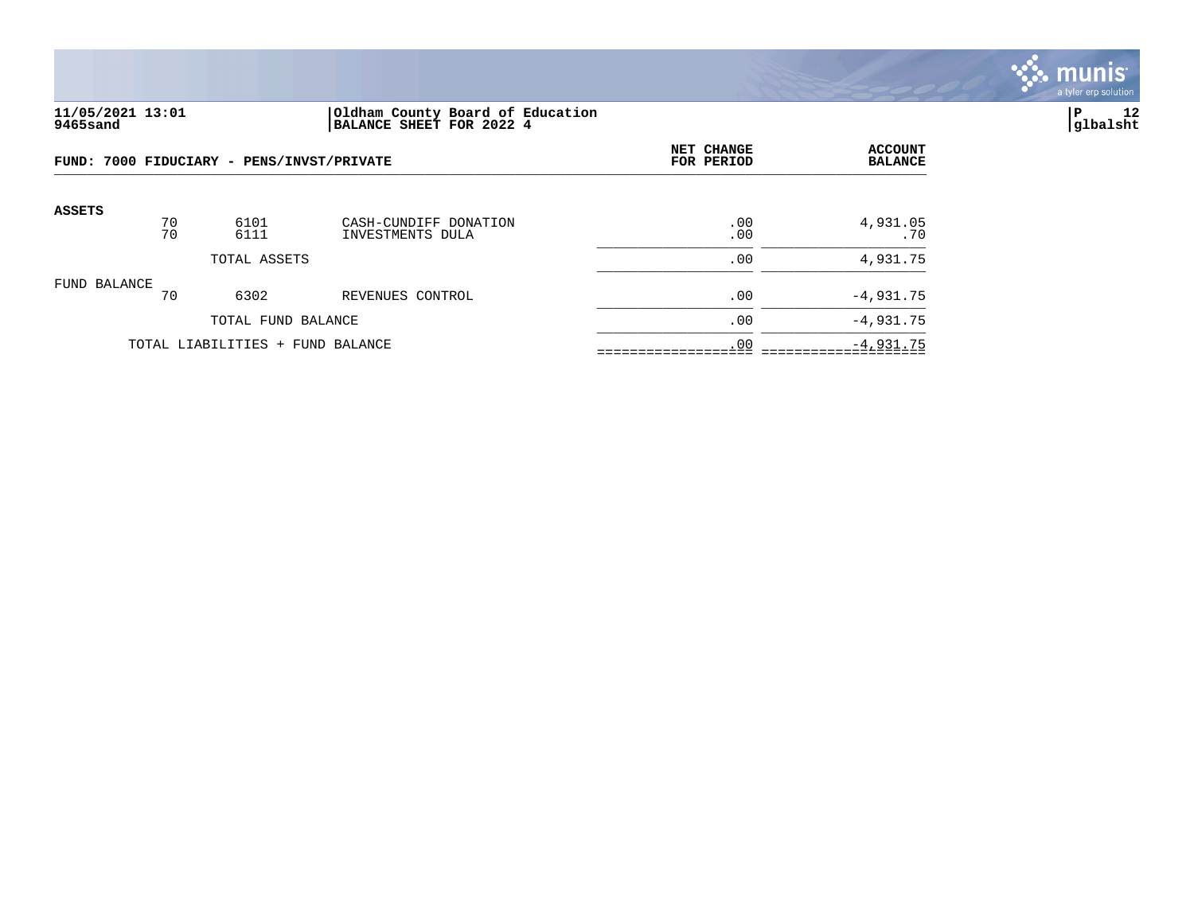

### **11/05/2021 13:01 |Oldham County Board of Education |P 12 9465sand |BALANCE SHEET FOR 2022 4 |glbalsht**

|               | FUND: 7000 FIDUCIARY - PENS/INVST/PRIVATE |                                  |                                           | NET CHANGE<br>FOR PERIOD | <b>ACCOUNT</b><br><b>BALANCE</b> |
|---------------|-------------------------------------------|----------------------------------|-------------------------------------------|--------------------------|----------------------------------|
| <b>ASSETS</b> | 70<br>70                                  | 6101<br>6111                     | CASH-CUNDIFF DONATION<br>INVESTMENTS DULA | .00<br>.00               | 4,931.05<br>.70                  |
|               |                                           | TOTAL ASSETS                     |                                           | .00                      | 4,931.75                         |
| FUND BALANCE  | 70                                        | 6302                             | REVENUES CONTROL                          | .00                      | $-4,931.75$                      |
|               |                                           | TOTAL FUND BALANCE               |                                           | .00                      | $-4,931.75$                      |
|               |                                           | TOTAL LIABILITIES + FUND BALANCE |                                           | .00                      | $-4,931.75$                      |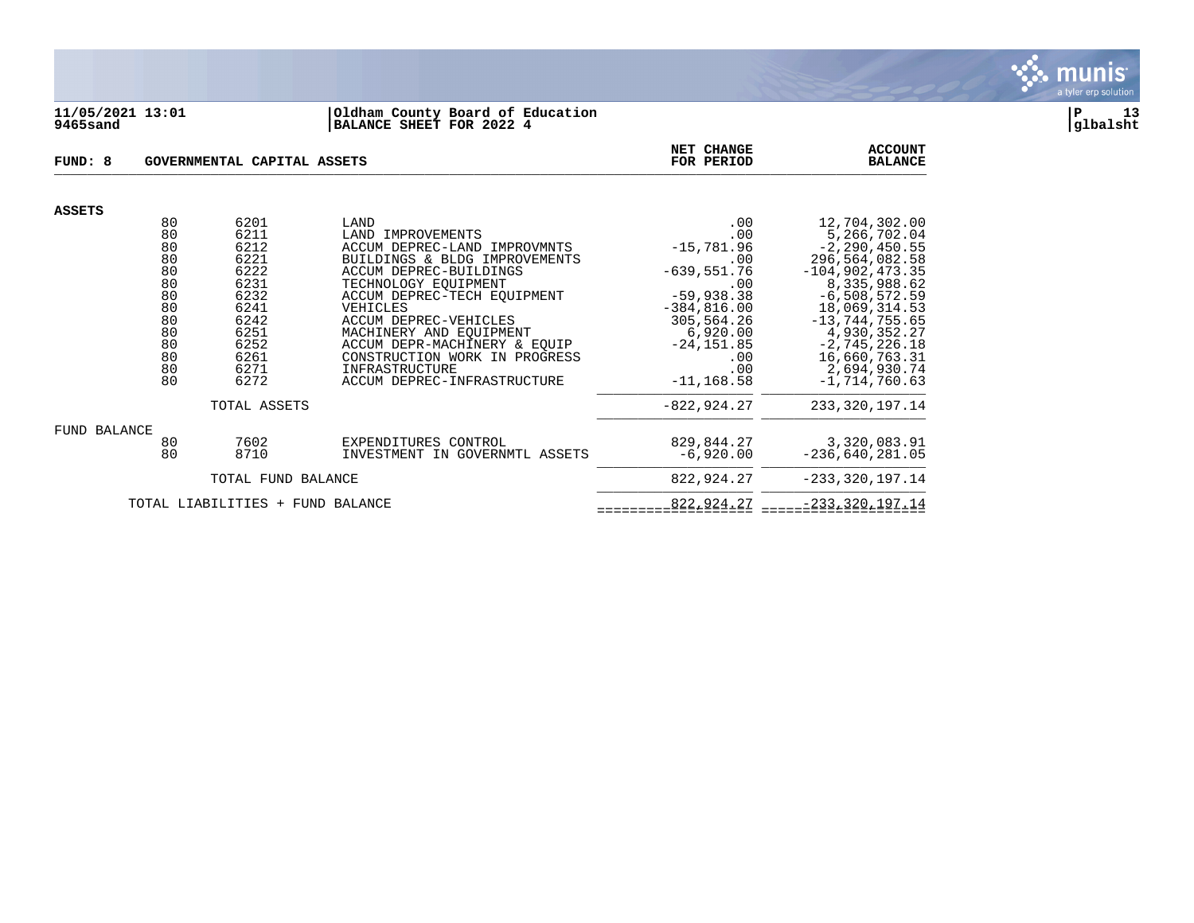

#### **11/05/2021 13:01 |Oldham County Board of Education |P 13 9465sand |BALANCE SHEET FOR 2022 4 |glbalsht**

| FUND: 8                                  |                                                                                  | GOVERNMENTAL CAPITAL ASSETS                                                                                  |                                                                                                                                                                                                                                                                                                                                                               | NET CHANGE<br>FOR PERIOD                                                                                                                                                   | <b>ACCOUNT</b><br><b>BALANCE</b>                                                                                                                                                                                                                             |
|------------------------------------------|----------------------------------------------------------------------------------|--------------------------------------------------------------------------------------------------------------|---------------------------------------------------------------------------------------------------------------------------------------------------------------------------------------------------------------------------------------------------------------------------------------------------------------------------------------------------------------|----------------------------------------------------------------------------------------------------------------------------------------------------------------------------|--------------------------------------------------------------------------------------------------------------------------------------------------------------------------------------------------------------------------------------------------------------|
|                                          |                                                                                  |                                                                                                              |                                                                                                                                                                                                                                                                                                                                                               |                                                                                                                                                                            |                                                                                                                                                                                                                                                              |
| <b>ASSETS</b>                            | 80<br>80<br>80<br>80<br>80<br>80<br>80<br>80<br>80<br>80<br>80<br>80<br>80<br>80 | 6201<br>6211<br>6212<br>6221<br>6222<br>6231<br>6232<br>6241<br>6242<br>6251<br>6252<br>6261<br>6271<br>6272 | LAND<br>LAND IMPROVEMENTS<br>ACCUM DEPREC-LAND IMPROVMNTS<br>BUILDINGS & BLDG IMPROVEMENTS<br>ACCUM DEPREC-BUILDINGS<br>TECHNOLOGY EQUIPMENT<br>ACCUM DEPREC-TECH EQUIPMENT<br>VEHICLES<br>ACCUM DEPREC-VEHICLES<br>MACHINERY AND EQUIPMENT<br>ACCUM DEPR-MACHINERY & EOUIP<br>CONSTRUCTION WORK IN PROGRESS<br>INFRASTRUCTURE<br>ACCUM DEPREC-INFRASTRUCTURE | .00<br>.00<br>$-15,781.96$<br>.00<br>$-639,551.76$<br>.00<br>$-59,938.38$<br>$-384, 816.00$<br>305,564.26<br>6,920.00<br>$-24, 151.85$<br>$.00 \,$<br>.00<br>$-11, 168.58$ | 12,704,302.00<br>5,266,702.04<br>$-2, 290, 450.55$<br>296,564,082.58<br>$-104,902,473.35$<br>8,335,988.62<br>$-6,508,572.59$<br>18,069,314.53<br>$-13, 744, 755.65$<br>4,930,352.27<br>$-2, 745, 226.18$<br>16,660,763.31<br>2,694,930.74<br>$-1.714.760.63$ |
|                                          |                                                                                  | TOTAL ASSETS                                                                                                 |                                                                                                                                                                                                                                                                                                                                                               | $-822, 924.27$                                                                                                                                                             | 233, 320, 197. 14                                                                                                                                                                                                                                            |
| <b>FUND BALANCE</b>                      | 80<br>80                                                                         | 7602<br>8710                                                                                                 | EXPENDITURES CONTROL<br>INVESTMENT IN GOVERNMTL ASSETS                                                                                                                                                                                                                                                                                                        | 829,844.27<br>$-6,920.00$                                                                                                                                                  | 3,320,083.91<br>$-236,640,281.05$                                                                                                                                                                                                                            |
|                                          |                                                                                  | TOTAL FUND BALANCE                                                                                           | 822,924.27                                                                                                                                                                                                                                                                                                                                                    | $-233, 320, 197.14$                                                                                                                                                        |                                                                                                                                                                                                                                                              |
| TOTAL LIABILITIES<br>FUND BALANCE<br>$+$ |                                                                                  |                                                                                                              |                                                                                                                                                                                                                                                                                                                                                               | 822,924.27                                                                                                                                                                 | $-233, 320, 197.14$                                                                                                                                                                                                                                          |